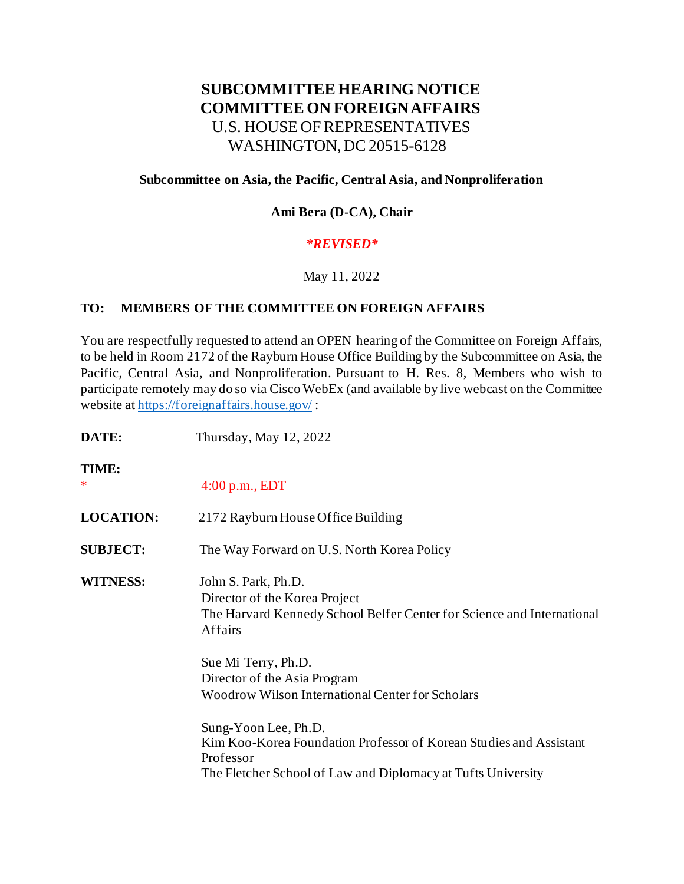# **SUBCOMMITTEE HEARING NOTICE COMMITTEE ON FOREIGN AFFAIRS** U.S. HOUSE OF REPRESENTATIVES WASHINGTON, DC 20515-6128

## **Subcommittee on Asia, the Pacific, Central Asia, and Nonproliferation**

## **Ami Bera (D-CA), Chair**

#### *\*REVISED\**

#### May 11, 2022

#### **TO: MEMBERS OF THE COMMITTEE ON FOREIGN AFFAIRS**

You are respectfully requested to attend an OPEN hearing of the Committee on Foreign Affairs, to be held in Room 2172 of the Rayburn House Office Building by the Subcommittee on Asia, the Pacific, Central Asia, and Nonproliferation. Pursuant to H. Res. 8, Members who wish to participate remotely may do so via Cisco WebEx (and available by live webcast on the Committee website at<https://foreignaffairs.house.gov/> :

| DATE:            | Thursday, May 12, 2022                                                                                                                                                  |
|------------------|-------------------------------------------------------------------------------------------------------------------------------------------------------------------------|
| TIME:<br>∗       | $4:00$ p.m., EDT                                                                                                                                                        |
| <b>LOCATION:</b> | 2172 Rayburn House Office Building                                                                                                                                      |
| <b>SUBJECT:</b>  | The Way Forward on U.S. North Korea Policy                                                                                                                              |
| <b>WITNESS:</b>  | John S. Park, Ph.D.<br>Director of the Korea Project<br>The Harvard Kennedy School Belfer Center for Science and International<br>Affairs                               |
|                  | Sue Mi Terry, Ph.D.<br>Director of the Asia Program<br><b>Woodrow Wilson International Center for Scholars</b>                                                          |
|                  | Sung-Yoon Lee, Ph.D.<br>Kim Koo-Korea Foundation Professor of Korean Studies and Assistant<br>Professor<br>The Fletcher School of Law and Diplomacy at Tufts University |